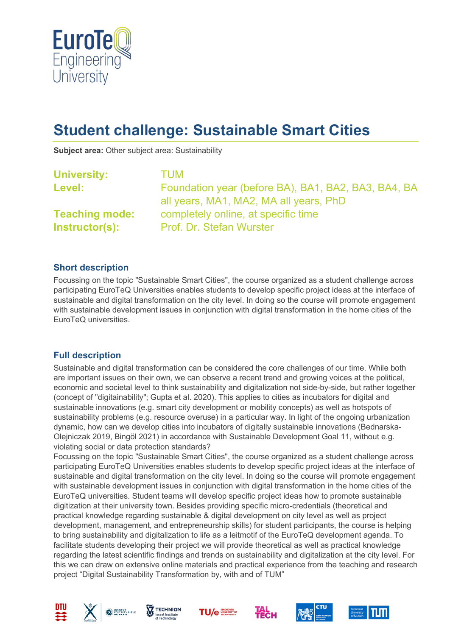

# **Student challenge: Sustainable Smart Cities**

**Subject area:** Other subject area: Sustainability

| <b>University:</b>    | <b>TUM</b>                                          |
|-----------------------|-----------------------------------------------------|
| Level:                | Foundation year (before BA), BA1, BA2, BA3, BA4, BA |
|                       | all years, MA1, MA2, MA all years, PhD              |
| <b>Teaching mode:</b> | completely online, at specific time                 |
| Instructor(s):        | Prof. Dr. Stefan Wurster                            |
|                       |                                                     |

### **Short description**

Focussing on the topic "Sustainable Smart Cities", the course organized as a student challenge across participating EuroTeQ Universities enables students to develop specific project ideas at the interface of sustainable and digital transformation on the city level. In doing so the course will promote engagement with sustainable development issues in conjunction with digital transformation in the home cities of the EuroTeQ universities.

### **Full description**

Sustainable and digital transformation can be considered the core challenges of our time. While both are important issues on their own, we can observe a recent trend and growing voices at the political, economic and societal level to think sustainability and digitalization not side-by-side, but rather together (concept of "digitainability"; Gupta et al. 2020). This applies to cities as incubators for digital and sustainable innovations (e.g. smart city development or mobility concepts) as well as hotspots of sustainability problems (e.g. resource overuse) in a particular way. In light of the ongoing urbanization dynamic, how can we develop cities into incubators of digitally sustainable innovations (Bednarska-Olejniczak 2019, Bingöl 2021) in accordance with Sustainable Development Goal 11, without e.g. violating social or data protection standards?

Focussing on the topic "Sustainable Smart Cities", the course organized as a student challenge across participating EuroTeQ Universities enables students to develop specific project ideas at the interface of sustainable and digital transformation on the city level. In doing so the course will promote engagement with sustainable development issues in conjunction with digital transformation in the home cities of the EuroTeQ universities. Student teams will develop specific project ideas how to promote sustainable digitization at their university town. Besides providing specific micro-credentials (theoretical and practical knowledge regarding sustainable & digital development on city level as well as project development, management, and entrepreneurship skills) for student participants, the course is helping to bring sustainability and digitalization to life as a leitmotif of the EuroTeQ development agenda. To facilitate students developing their project we will provide theoretical as well as practical knowledge regarding the latest scientific findings and trends on sustainability and digitalization at the city level. For this we can draw on extensive online materials and practical experience from the teaching and research project "Digital Sustainability Transformation by, with and of TUM"













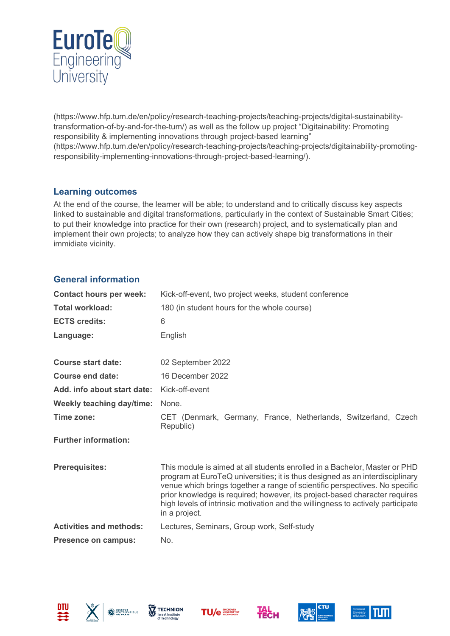

(https://www.hfp.tum.de/en/policy/research-teaching-projects/teaching-projects/digital-sustainabilitytransformation-of-by-and-for-the-tum/) as well as the follow up project "Digitainability: Promoting responsibility & implementing innovations through project-based learning" (https://www.hfp.tum.de/en/policy/research-teaching-projects/teaching-projects/digitainability-promotingresponsibility-implementing-innovations-through-project-based-learning/).

## **Learning outcomes**

At the end of the course, the learner will be able; to understand and to critically discuss key aspects linked to sustainable and digital transformations, particularly in the context of Sustainable Smart Cities; to put their knowledge into practice for their own (research) project, and to systematically plan and implement their own projects; to analyze how they can actively shape big transformations in their immidiate vicinity.

## **General information**

| <b>Contact hours per week:</b>   | Kick-off-event, two project weeks, student conference                                                                                                                                                                                                                                                                                                                                                                       |  |
|----------------------------------|-----------------------------------------------------------------------------------------------------------------------------------------------------------------------------------------------------------------------------------------------------------------------------------------------------------------------------------------------------------------------------------------------------------------------------|--|
| <b>Total workload:</b>           | 180 (in student hours for the whole course)                                                                                                                                                                                                                                                                                                                                                                                 |  |
| <b>ECTS credits:</b>             | 6                                                                                                                                                                                                                                                                                                                                                                                                                           |  |
| Language:                        | English                                                                                                                                                                                                                                                                                                                                                                                                                     |  |
| <b>Course start date:</b>        | 02 September 2022                                                                                                                                                                                                                                                                                                                                                                                                           |  |
| <b>Course end date:</b>          | 16 December 2022                                                                                                                                                                                                                                                                                                                                                                                                            |  |
| Add. info about start date:      | Kick-off-event                                                                                                                                                                                                                                                                                                                                                                                                              |  |
| <b>Weekly teaching day/time:</b> | None.                                                                                                                                                                                                                                                                                                                                                                                                                       |  |
| Time zone:                       | CET (Denmark, Germany, France, Netherlands, Switzerland, Czech<br>Republic)                                                                                                                                                                                                                                                                                                                                                 |  |
| <b>Further information:</b>      |                                                                                                                                                                                                                                                                                                                                                                                                                             |  |
| <b>Prerequisites:</b>            | This module is aimed at all students enrolled in a Bachelor, Master or PHD<br>program at EuroTeQ universities; it is thus designed as an interdisciplinary<br>venue which brings together a range of scientific perspectives. No specific<br>prior knowledge is required; however, its project-based character requires<br>high levels of intrinsic motivation and the willingness to actively participate<br>in a project. |  |
| <b>Activities and methods:</b>   | Lectures, Seminars, Group work, Self-study                                                                                                                                                                                                                                                                                                                                                                                  |  |
| <b>Presence on campus:</b>       | No.                                                                                                                                                                                                                                                                                                                                                                                                                         |  |











**HECH**